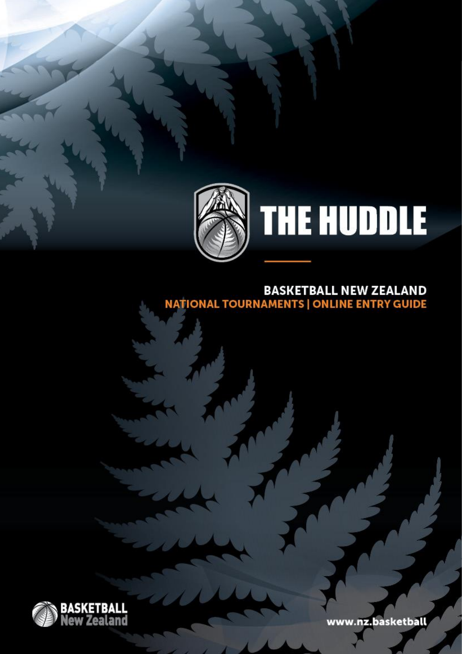

# **THE HUDDLE**

## BASKETBALL NEW ZEALAND<br>NATIONAL TOURNAMENTS | ONLINE ENTRY GUIDE



www.nz.basketball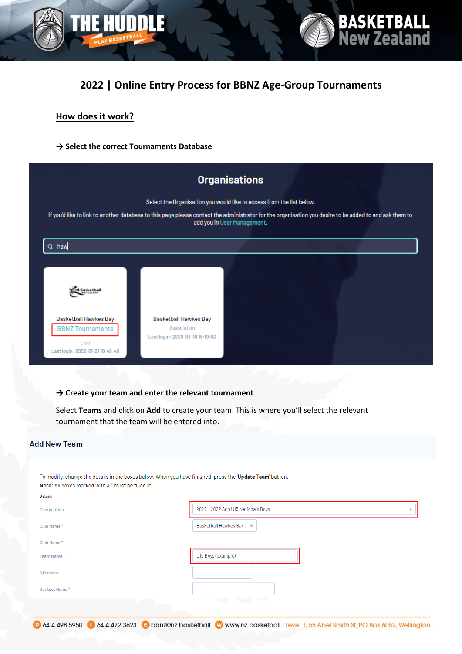



**BASKETBALL**<br>New Zealand

#### **How does it work?**

**→ Select the correct Tournaments Database** 

| <b>Organisations</b>                                                                                                                                                                                                            |                                      |                             |  |
|---------------------------------------------------------------------------------------------------------------------------------------------------------------------------------------------------------------------------------|--------------------------------------|-----------------------------|--|
| Select the Organisation you would like to access from the list below.<br>If you'd like to link to another database to this page please contact the administrator for the organisation you desire to be added to and ask them to |                                      |                             |  |
| $\Omega$<br>haw                                                                                                                                                                                                                 |                                      | add you in User Management. |  |
|                                                                                                                                                                                                                                 |                                      |                             |  |
| lasketball                                                                                                                                                                                                                      |                                      |                             |  |
| Basketball Hawkes Bay<br><b>BBNZ Tournaments</b>                                                                                                                                                                                | Basketball Hawkes Bay<br>Association |                             |  |
| Club<br>Last login: 2022-01-2110:46:40                                                                                                                                                                                          | Last login: 2020-06-10 16:19:02      |                             |  |

#### **→ Create your team and enter the relevant tournament**

Select **Teams** and click on **Add** to create your team. This is where you'll select the relevant tournament that the team will be entered into.

| <b>Add New Team</b>                                                                                                                                                               |                                         |  |  |  |
|-----------------------------------------------------------------------------------------------------------------------------------------------------------------------------------|-----------------------------------------|--|--|--|
| To modify, change the details in the boxes below. When you have finished, press the "Update Team' button.<br>Note: All boxes marked with a * must be filled in.<br><b>Details</b> |                                         |  |  |  |
| Competition                                                                                                                                                                       | 2022 - 2022 Aon U15 Nationals Boys<br>٠ |  |  |  |
| Club Name*                                                                                                                                                                        | Basketball Hawkes Bay $\quad$           |  |  |  |
| Club Name*                                                                                                                                                                        |                                         |  |  |  |
| Team Name*                                                                                                                                                                        | U15 Boys (example)                      |  |  |  |
| Nickname                                                                                                                                                                          |                                         |  |  |  |
| Contact Name*                                                                                                                                                                     |                                         |  |  |  |
|                                                                                                                                                                                   | s.                                      |  |  |  |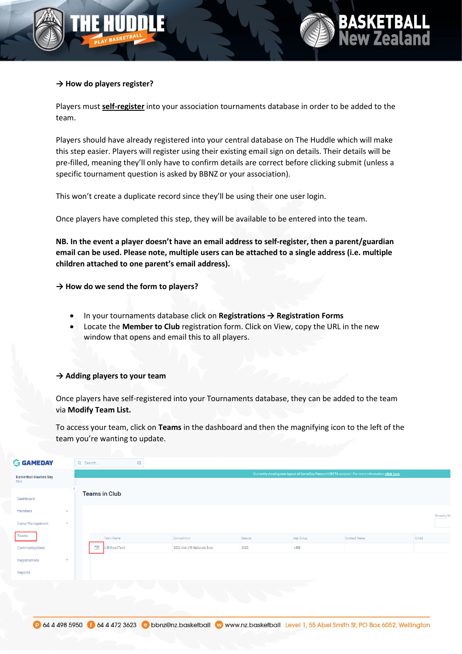



#### **→ How do players register?**

Players must **self-register** into your association tournaments database in order to be added to the team.

Players should have already registered into your central database on The Huddle which will make this step easier. Players will register using their existing email sign on details. Their details will be pre-filled, meaning they'll only have to confirm details are correct before clicking submit (unless a specific tournament question is asked by BBNZ or your association).

This won't create a duplicate record since they'll be using their one user login.

Once players have completed this step, they will be available to be entered into the team.

**NB. In the event a player doesn't have an email address to self-register, then a parent/guardian email can be used. Please note, multiple users can be attached to a single address (i.e. multiple children attached to one parent's email address).**

**→ How do we send the form to players?** 

- In your tournaments database click on **Registrations → Registration Forms**
- Locate the **Member to Club** registration form. Click on View, copy the URL in the new window that opens and email this to all players.

#### **→ Adding players to your team**

Once players have self-registered into your Tournaments database, they can be added to the team via **Modify Team List.** 

To access your team, click on **Teams** in the dashboard and then the magnifying icon to the left of the team you're wanting to update.

| <b>GAMEDAY</b>               |              | Q Search                                                                                          |                      | 带             |                             |        |           |              |       |            |
|------------------------------|--------------|---------------------------------------------------------------------------------------------------|----------------------|---------------|-----------------------------|--------|-----------|--------------|-------|------------|
| <b>Basketball Hawkes Bay</b> |              | Currently viewing new layout of GameDay Passport (BETA version). For more information click here. |                      |               |                             |        |           |              |       |            |
| Club                         |              |                                                                                                   |                      |               |                             |        |           |              |       |            |
| Dashboard                    |              |                                                                                                   | <b>Teams in Club</b> |               |                             |        |           |              |       |            |
| Members                      | $\sim$       |                                                                                                   |                      |               |                             |        |           |              |       | Showing Na |
| <b>Comp Management</b>       | $\mathbf{w}$ |                                                                                                   |                      |               |                             |        |           |              |       |            |
| Teams                        |              |                                                                                                   | Team Name            |               | Competition                 | Season | Age Group | Contact Name | Email |            |
| Communications               |              |                                                                                                   | 园<br>U15 Boys (Test) |               | 2022 Aon U15 Nationals Boys | 2022   | U15B      |              |       |            |
| Registrations                | $\mathbf{v}$ |                                                                                                   |                      |               |                             |        |           |              |       |            |
| Reports                      |              |                                                                                                   |                      |               |                             |        |           |              |       |            |
|                              |              |                                                                                                   | t, p                 | $\sim$ $\sim$ |                             | m      |           |              |       |            |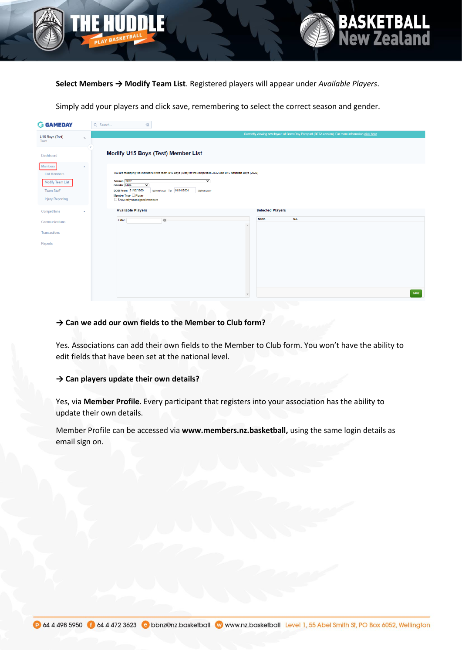

**Select Members → Modify Team List**. Registered players will appear under *Available Players*.

**BASKETBALL<br>New Zealand** 

Simply add your players and click save, remembering to select the correct season and gender.

| <b>GAMEDAY</b>                                                                                          | Q Search<br>帯                                                                                                                                                                                                                                                                         |
|---------------------------------------------------------------------------------------------------------|---------------------------------------------------------------------------------------------------------------------------------------------------------------------------------------------------------------------------------------------------------------------------------------|
| U15 Boys (Test)<br>$\checkmark$                                                                         | Currently viewing new layout of GameDay Passport (BETA version). For more information click here.                                                                                                                                                                                     |
| Team                                                                                                    |                                                                                                                                                                                                                                                                                       |
| Dashboard                                                                                               | Modify U15 Boys (Test) Member List                                                                                                                                                                                                                                                    |
| Members<br>×<br><b>List Members</b><br>Modify Team List<br><b>Team Staff</b><br><b>Injury Reporting</b> | You are modifying the members in the team U15 Boys (Test) for the competition 2022 Aon U15 Nationals Boys (2022)<br>Season 2022<br>▽<br>Gender Male<br>▽<br>DOB From 31/12/1900<br>(dd/mm/yyyy) To 01/01/2031<br>(dd/mm/yyyy)<br>Member Type D Player<br>Show only unassigned members |
| Competitions<br>٠                                                                                       | <b>Available Players</b><br><b>Selected Players</b>                                                                                                                                                                                                                                   |
| Communications                                                                                          | Name<br>No.<br>$\circ$<br>Filter                                                                                                                                                                                                                                                      |
| <b>Transactions</b>                                                                                     |                                                                                                                                                                                                                                                                                       |
| Reports                                                                                                 |                                                                                                                                                                                                                                                                                       |
|                                                                                                         | SAVE<br>$\mathbf{v}$                                                                                                                                                                                                                                                                  |

#### **→ Can we add our own fields to the Member to Club form?**

Yes. Associations can add their own fields to the Member to Club form. You won't have the ability to edit fields that have been set at the national level.

#### **→ Can players update their own details?**

Yes, via **Member Profile**. Every participant that registers into your association has the ability to update their own details.

Member Profile can be accessed via **www.members.nz.basketball,** using the same login details as email sign on.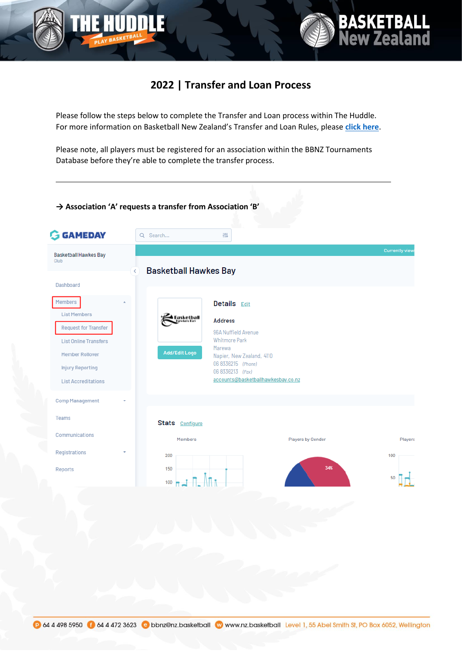

### **2022 | Transfer and Loan Process**

**BASKETBALL**<br>New Zealand

Please follow the steps below to complete the Transfer and Loan process within The Huddle. For more information on Basketball New Zealand's Transfer and Loan Rules, please **[click here](https://nz.basketball/wp-content/uploads/2022/02/2022-Updated-BBNZ-Criteria-Guide-for-Transfer-and-Loans.pdf)**.

Please note, all players must be registered for an association within the BBNZ Tournaments Database before they're able to complete the transfer process.

#### **→ Association 'A' requests a transfer from Association 'B'G GAMEDAY** Q Search... 帯 **Basketball Hawkes Bay** Club **Basketball Hawkes Bay** Dashboard Members **Details** Edit **List Members Address Request for Transfer** 964 Nuffield Avenue Whitmore Park **List Online Transfers** Marewa Add/Edit Logo Member Rollover Napier, New Zealand, 4110 06 8336215 (Phone) **Injury Reporting** 06 8336213 (Fax) accounts@basketballhawkesbay.co.nz **List Accreditations Comp Management** Teams Stats Configure Communications Members **Players by Gender** Players Registrations 200 100 Reports 150 n An<sub>n</sub>  $100 -$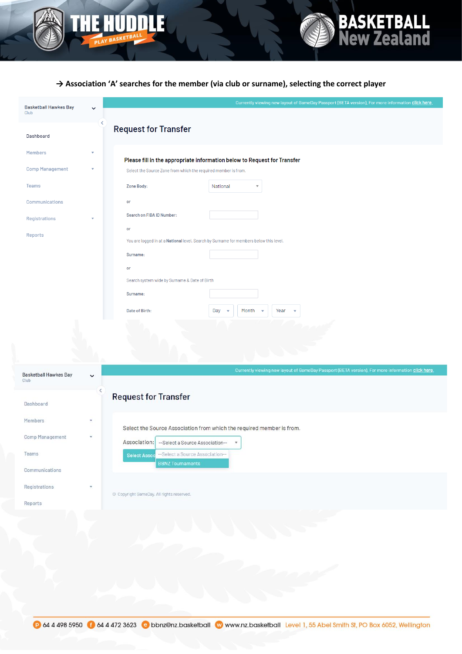

Reports

#### **→ Association 'A' searches for the member (via club or surname), selecting the correct player**

**BASKETBALL<br>New Zealand** 

| <b>Basketball Hawkes Bay</b><br>Club |             | Currently viewing new layout of GameDay Passport (BETA version), For more information click here.                                          |  |
|--------------------------------------|-------------|--------------------------------------------------------------------------------------------------------------------------------------------|--|
| Dashboard                            |             | <b>Request for Transfer</b>                                                                                                                |  |
| <b>Members</b>                       |             |                                                                                                                                            |  |
| <b>Comp Management</b>               |             | Please fill in the appropriate information below to Request for Transfer<br>Select the Source Zone from which the required member is from. |  |
| Teams                                |             | Zone Body:<br>National                                                                                                                     |  |
| Communications                       |             | or                                                                                                                                         |  |
| Registrations                        |             | Search on FIBA ID Number:                                                                                                                  |  |
| Reports                              |             | or<br>You are logged in at a National level. Search by Surname for members below this level.                                               |  |
|                                      |             | Surname:                                                                                                                                   |  |
|                                      |             | or                                                                                                                                         |  |
|                                      |             | Search system wide by Surname & Date of Birth                                                                                              |  |
|                                      |             | Surname:                                                                                                                                   |  |
|                                      |             | Date of Birth:<br>Day<br>Month<br>Year                                                                                                     |  |
|                                      |             |                                                                                                                                            |  |
|                                      |             |                                                                                                                                            |  |
|                                      |             |                                                                                                                                            |  |
| <b>Basketball Hawkes Bay</b><br>Club | $\check{ }$ | Currently viewing new layout of GameDay Passport (BETA version), For more information click here.                                          |  |
|                                      | K           | <b>Request for Transfer</b>                                                                                                                |  |
| Dashboard                            |             |                                                                                                                                            |  |
| Members                              |             | Select the Source Association from which the required member is from.                                                                      |  |
| Comp Management                      |             | Association:<br>--Select a Source Association--<br>$\boldsymbol{\mathrm{v}}$                                                               |  |
| Teams                                |             | --Select a Source Association--<br><b>Select Assoc</b>                                                                                     |  |
| Communications                       |             | <b>BBNZ Tournaments</b>                                                                                                                    |  |
| Registrations                        | ¥.          | © Copyright GameDay. All rights reserved.                                                                                                  |  |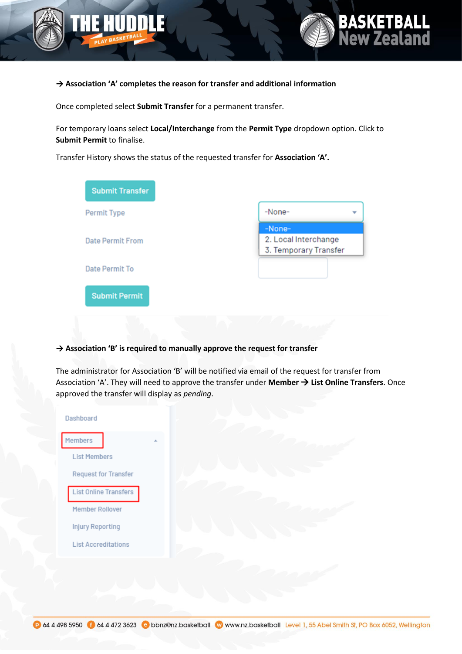



#### **→ Association 'A' completes the reason for transfer and additional information**

Once completed select **Submit Transfer** for a permanent transfer.

For temporary loans select **Local/Interchange** from the **Permit Type** dropdown option. Click to **Submit Permit** to finalise.

Transfer History shows the status of the requested transfer for **Association 'A'.**

| Permit Type             | -None-                |
|-------------------------|-----------------------|
|                         | -None-                |
| <b>Date Permit From</b> | 2. Local Interchange  |
|                         | 3. Temporary Transfer |
| Date Permit To          |                       |
|                         |                       |
| <b>Submit Permit</b>    |                       |

#### **→ Association 'B' is required to manually approve the request for transfer**

The administrator for Association 'B' will be notified via email of the request for transfer from Association 'A'. They will need to approve the transfer under **Member** → **List Online Transfers**. Once approved the transfer will display as *pending*.

| Dashboard                    |  |
|------------------------------|--|
| Members                      |  |
| <b>List Members</b>          |  |
| <b>Request for Transfer</b>  |  |
| <b>List Online Transfers</b> |  |
| Member Rollover              |  |
| <b>Injury Reporting</b>      |  |
| <b>List Accreditations</b>   |  |
|                              |  |